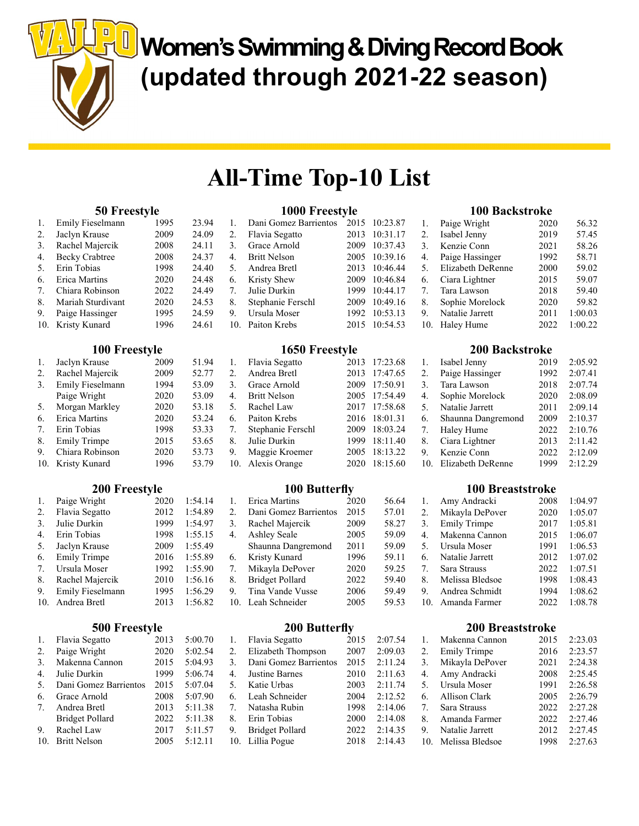Women's Swimming & Diving Record Book (updated through 2021-22 season)

# All-Time Top-10 List

#### 50 Freestyle

 $\left\| \right\|$ 

| 1.  | Emily Fieselmann      | 1995 | 23.94 |
|-----|-----------------------|------|-------|
| 2.  | Jaclyn Krause         | 2009 | 24.09 |
| 3.  | Rachel Majercik       | 2008 | 24.11 |
| 4.  | <b>Becky Crabtree</b> | 2008 | 24.37 |
| 5.  | Erin Tobias           | 1998 | 24.40 |
| 6.  | Erica Martins         | 2020 | 24.48 |
| 7.  | Chiara Robinson       | 2022 | 24.49 |
| 8.  | Mariah Sturdivant     | 2020 | 24.53 |
| 9.  | Paige Hassinger       | 1995 | 24.59 |
| 10. | Kristy Kunard         | 1996 | 24.61 |
|     |                       |      |       |

## 100 Freestyle

| 1.  | Jaclyn Krause       | 2009 | 51.94 |
|-----|---------------------|------|-------|
| 2.  | Rachel Majercik     | 2009 | 52.77 |
| 3.  | Emily Fieselmann    | 1994 | 53.09 |
|     | Paige Wright        | 2020 | 53.09 |
| 5.  | Morgan Markley      | 2020 | 53.18 |
| 6.  | Erica Martins       | 2020 | 53.24 |
| 7.  | Erin Tobias         | 1998 | 53.33 |
| 8.  | <b>Emily Trimpe</b> | 2015 | 53.65 |
| 9.  | Chiara Robinson     | 2020 | 53.73 |
| 10. | Kristy Kunard       | 1996 | 53.79 |

## 200 Freestyle

| 1.  | Paige Wright        | 2020 | 1:54.14 |
|-----|---------------------|------|---------|
| 2.  | Flavia Segatto      | 2012 | 1:54.89 |
| 3.  | Julie Durkin        | 1999 | 1:54.97 |
| 4.  | Erin Tobias         | 1998 | 1:55.15 |
| 5.  | Jaclyn Krause       | 2009 | 1:55.49 |
| 6.  | <b>Emily Trimpe</b> | 2016 | 1:55.89 |
| 7.  | Ursula Moser        | 1992 | 1:55.90 |
| 8.  | Rachel Majercik     | 2010 | 1:56.16 |
| 9.  | Emily Fieselmann    | 1995 | 1:56.29 |
| 10. | Andrea Bretl        | 2013 | 1:56.82 |
|     |                     |      |         |

## 500 Freestyle

| 1.                              | Flavia Segatto         | 2013 | 5:00.70 |
|---------------------------------|------------------------|------|---------|
| 2.                              | Paige Wright           | 2020 | 5:02.54 |
| 3.                              | Makenna Cannon         | 2015 | 5:04.93 |
| $\mathbf{4}$ .                  | Julie Durkin           | 1999 | 5:06.74 |
| 5.                              | Dani Gomez Barrientos  | 2015 | 5:07.04 |
| 6.                              | Grace Arnold           | 2008 | 5:07.90 |
| $7_{\scriptscriptstyle{\circ}}$ | Andrea Bretl           | 2013 | 5:11.38 |
|                                 | <b>Bridget Pollard</b> | 2022 | 5:11.38 |
| 9.                              | Rachel Law             | 2017 | 5:11.57 |
| 10.                             | <b>Britt Nelson</b>    | 2005 | 5:12.11 |

## 1000 Freestyle

| 1.          | Dani Gomez Barrientos |      | 2015 10:23.87 |
|-------------|-----------------------|------|---------------|
| 2.          | Flavia Segatto        | 2013 | 10:31.17      |
| 3.          | Grace Arnold          |      | 2009 10:37.43 |
| $4_{\cdot}$ | <b>Britt Nelson</b>   |      | 2005 10:39.16 |
| 5.          | Andrea Bretl          |      | 2013 10:46.44 |
| 6.          | Kristy Shew           |      | 2009 10:46.84 |
|             | 7. Julie Durkin       |      | 1999 10:44.17 |
| 8.          | Stephanie Ferschl     |      | 2009 10:49.16 |
| 9.          | Ursula Moser          |      | 1992 10:53.13 |
| 10.         | Paiton Krebs          |      | 2015 10:54.53 |
|             |                       |      |               |

#### 1650 Freestyle

| 1. | Flavia Segatto    | 2013 17:23.68 |
|----|-------------------|---------------|
| 2. | Andrea Bretl      | 2013 17:47.65 |
| 3. | Grace Arnold      | 2009 17:50.91 |
| 4. | Britt Nelson      | 2005 17:54.49 |
| 5. | Rachel Law        | 2017 17:58.68 |
| 6. | Paiton Krebs      | 2016 18:01.31 |
| 7. | Stephanie Ferschl | 2009 18:03.24 |
|    | 8. Julie Durkin   | 1999 18:11.40 |
|    | 9. Maggie Kroemer | 2005 18:13.22 |
|    | 10. Alexis Orange | 2020 18:15.60 |

## 100 Butterfly

| 1.  | Erica Martins          | 2020 | 56.64 |
|-----|------------------------|------|-------|
| 2.  | Dani Gomez Barrientos  | 2015 | 57.01 |
| 3.  | Rachel Majercik        | 2009 | 58.27 |
| 4.  | <b>Ashley Seale</b>    | 2005 | 59.09 |
|     | Shaunna Dangremond     | 2011 | 59.09 |
| 6.  | Kristy Kunard          | 1996 | 59.11 |
| 7.  | Mikayla DePover        | 2020 | 59.25 |
| 8.  | <b>Bridget Pollard</b> | 2022 | 59.40 |
| 9.  | Tina Vande Vusse       | 2006 | 59.49 |
| 10. | Leah Schneider         | 2005 | 59.53 |

## 200 Butterfly

| 1.  | Flavia Segatto         | 2015 | 2:07.54 |
|-----|------------------------|------|---------|
| 2.  | Elizabeth Thompson     | 2007 | 2:09.03 |
| 3.  | Dani Gomez Barrientos  | 2015 | 2:11.24 |
| 4.  | Justine Barnes         | 2010 | 2:11.63 |
| 5.  | Katie Urbas            | 2003 | 2:11.74 |
| 6.  | Leah Schneider         | 2004 | 2:12.52 |
| 7.  | Natasha Rubin          | 1998 | 2:14.06 |
| 8.  | Erin Tobias            | 2000 | 2:14.08 |
| 9.  | <b>Bridget Pollard</b> | 2022 | 2:14.35 |
| 10. | Lillia Pogue           | 2018 | 2:14.43 |

#### 100 Backstroke

| 1.  | Paige Wright      | 2020 | 56.32   |
|-----|-------------------|------|---------|
| 2.  | Isabel Jenny      | 2019 | 57.45   |
| 3.  | Kenzie Conn       | 2021 | 58.26   |
| 4.  | Paige Hassinger   | 1992 | 58.71   |
| 5.  | Elizabeth DeRenne | 2000 | 59.02   |
| 6.  | Ciara Lightner    | 2015 | 59.07   |
| 7.  | Tara Lawson       | 2018 | 59.40   |
| 8.  | Sophie Morelock   | 2020 | 59.82   |
| 9.  | Natalie Jarrett   | 2011 | 1:00.03 |
| 10. | Haley Hume        | 2022 | 1:00.22 |

## 200 Backstroke

| 1.  | Isabel Jenny       | 2019 | 2:05.92 |
|-----|--------------------|------|---------|
| 2.  | Paige Hassinger    | 1992 | 2:07.41 |
| 3.  | Tara Lawson        | 2018 | 2:07.74 |
| 4.  | Sophie Morelock    | 2020 | 2:08.09 |
| 5.  | Natalie Jarrett    | 2011 | 2:09.14 |
| 6.  | Shaunna Dangremond | 2009 | 2:10.37 |
| 7.  | Haley Hume         | 2022 | 2:10.76 |
| 8.  | Ciara Lightner     | 2013 | 2:11.42 |
| 9.  | Kenzie Conn        | 2022 | 2:12.09 |
| 10. | Elizabeth DeRenne  | 1999 | 2:12.29 |

## 100 Breaststroke

| 1.               | Amy Andracki        | 2008 | 1:04.97 |
|------------------|---------------------|------|---------|
| 2.               | Mikayla DePover     | 2020 | 1:05.07 |
| 3.               | <b>Emily Trimpe</b> | 2017 | 1:05.81 |
| $\overline{4}$ . | Makenna Cannon      | 2015 | 1:06.07 |
| 5.               | Ursula Moser        | 1991 | 1:06.53 |
| 6.               | Natalie Jarrett     | 2012 | 1:07.02 |
| 7.               | Sara Strauss        | 2022 | 1:07.51 |
| 8.               | Melissa Bledsoe     | 1998 | 1:08.43 |
| 9.               | Andrea Schmidt      | 1994 | 1:08.62 |
|                  | Amanda Farmer       | 2022 | 1:08.78 |

## 200 Breaststroke

|     | Makenna Cannon  | 2015 | 2:23.03 |
|-----|-----------------|------|---------|
| 2.  | Emily Trimpe    | 2016 | 2:23.57 |
| 3.  | Mikayla DePover | 2021 | 2:24.38 |
| 4.  | Amy Andracki    | 2008 | 2:25.45 |
| 5.  | Ursula Moser    | 1991 | 2:26.58 |
| 6.  | Allison Clark   | 2005 | 2:26.79 |
| 7.  | Sara Strauss    | 2022 | 2:27.28 |
| 8.  | Amanda Farmer   | 2022 | 2:27.46 |
| 9.  | Natalie Jarrett | 2012 | 2:27.45 |
| 10. | Melissa Bledsoe | 1998 | 2:27.63 |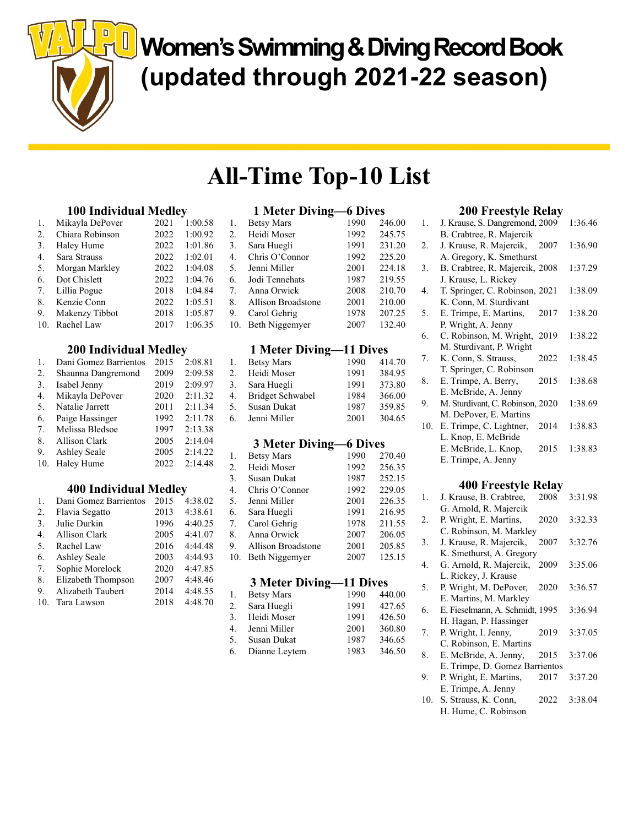**U** Women's Swimming & Diving Record Book (updated through 2021-22 season)

# All-Time Top-10 List

## 100 Individual Medley

|     | $100$ mais $100$ |      |         |  |
|-----|------------------|------|---------|--|
| 1.  | Mikayla DePover  | 2021 | 1:00.58 |  |
| 2.  | Chiara Robinson  | 2022 | 1:00.92 |  |
| 3.  | Haley Hume       | 2022 | 1:01.86 |  |
| 4.  | Sara Strauss     | 2022 | 1:02.01 |  |
| 5.  | Morgan Markley   | 2022 | 1:04.08 |  |
| 6.  | Dot Chislett     | 2022 | 1:04.76 |  |
| 7.  | Lillia Pogue     | 2018 | 1:04.84 |  |
| 8.  | Kenzie Conn      | 2022 | 1:05.51 |  |
| 9.  | Makenzy Tibbot   | 2018 | 1:05.87 |  |
| 10. | Rachel Law       | 2017 | 1:06.35 |  |
|     |                  |      |         |  |

## 200 Individual Medley

| 1.  | Dani Gomez Barrientos | 2015 | 2:08.81 |
|-----|-----------------------|------|---------|
| 2.  | Shaunna Dangremond    | 2009 | 2:09.58 |
| 3.  | Isabel Jenny          | 2019 | 2:09.97 |
| 4.  | Mikayla DePover       | 2020 | 2:11.32 |
| 5.  | Natalie Jarrett       | 2011 | 2:11.34 |
| 6.  | Paige Hassinger       | 1992 | 2:11.78 |
| 7.  | Melissa Bledsoe       | 1997 | 2:13.38 |
| 8.  | Allison Clark         | 2005 | 2:14.04 |
| 9.  | <b>Ashley Seale</b>   | 2005 | 2:14.22 |
| 10. | Haley Hume            | 2022 | 2:14.48 |

# 400 Individual Medley

| $\mathbf{1}$ . | Dani Gomez Barrientos | 2015 | 4:38.02 |
|----------------|-----------------------|------|---------|
| 2.             | Flavia Segatto        | 2013 | 4:38.61 |
| 3.             | Julie Durkin          | 1996 | 4:40.25 |
| $\mathbf{4}$   | Allison Clark         | 2005 | 4:41.07 |
| 5.             | Rachel Law            | 2016 | 4:44.48 |
| 6.             | <b>Ashley Seale</b>   | 2003 | 4:44.93 |
| 7.             | Sophie Morelock       | 2020 | 4:47.85 |
| 8.             | Elizabeth Thompson    | 2007 | 4:48.46 |
| 9.             | Alizabeth Taubert     | 2014 | 4:48.55 |
| 10.            | Tara Lawson           | 2018 | 4:48.70 |
|                |                       |      |         |

# 1 Meter Diving—6 Dives

|     | T MICRI DIVINE     | V DIVUJ |        |
|-----|--------------------|---------|--------|
| 1.  | <b>Betsy Mars</b>  | 1990    | 246.00 |
| 2.  | Heidi Moser        | 1992    | 245.75 |
| 3.  | Sara Huegli        | 1991    | 231.20 |
| 4.  | Chris O'Connor     | 1992    | 225.20 |
| 5.  | Jenni Miller       | 2001    | 224.18 |
| 6.  | Jodi Tennehats     | 1987    | 219.55 |
| 7.  | Anna Orwick        | 2008    | 210.70 |
| 8.  | Allison Broadstone | 2001    | 210.00 |
| 9.  | Carol Gehrig       | 1978    | 207.25 |
| 10. | Beth Niggemyer     | 2007    | 132.40 |
|     |                    |         |        |

# 1 Meter Diving—11 Dives

| 1. | <b>Betsy Mars</b> | 1990 | 414.70 |
|----|-------------------|------|--------|
| 2. | Heidi Moser       | 1991 | 384.95 |
| 3. | Sara Huegli       | 1991 | 373.80 |
| 4. | Bridget Schwabel  | 1984 | 366.00 |
| 5. | Susan Dukat       | 1987 | 359.85 |
| 6. | Jenni Miller      | 2001 | 304.65 |

## 3 Meter Diving—6 Dives

| 1.  | <b>Betsy Mars</b>  | 1990 | 270.40 |
|-----|--------------------|------|--------|
| 2.  | Heidi Moser        | 1992 | 256.35 |
| 3.  | Susan Dukat        | 1987 | 252.15 |
| 4.  | Chris O'Connor     | 1992 | 229.05 |
| 5.  | Jenni Miller       | 2001 | 226.35 |
| 6.  | Sara Huegli        | 1991 | 216.95 |
| 7.  | Carol Gehrig       | 1978 | 211.55 |
| 8.  | Anna Orwick        | 2007 | 206.05 |
| 9.  | Allison Broadstone | 2001 | 205.85 |
| 10. | Beth Niggemyer     | 2007 | 125.15 |
|     |                    |      |        |

#### 3 Meter Diving—11 Dives

| 1. | <b>Betsy Mars</b> | 1990 | 440.00 |
|----|-------------------|------|--------|
|    | 2. Sara Huegli    | 1991 | 427.65 |
|    | 3. Heidi Moser    | 1991 | 426.50 |
| 4. | Jenni Miller      | 2001 | 360.80 |
| 5. | Susan Dukat       | 1987 | 346.65 |
|    | 6. Dianne Leytem  | 1983 | 346.50 |

# 200 Freestyle Relay

| 1.  | J. Krause, S. Dangremond, 2009   |      | 1:36.46 |
|-----|----------------------------------|------|---------|
|     | B. Crabtree, R. Majercik         |      |         |
| 2.  | J. Krause, R. Majercik, 2007     |      | 1:36.90 |
|     | A. Gregory, K. Smethurst         |      |         |
| 3.  | B. Crabtree, R. Majercik, 2008   |      | 1:37.29 |
|     | J. Krause, L. Rickey             |      |         |
| 4.  | T. Springer, C. Robinson, 2021   |      | 1:38.09 |
|     | K. Conn, M. Sturdivant           |      |         |
| 5.  | E. Trimpe, E. Martins,           | 2017 | 1:38.20 |
|     | P. Wright, A. Jenny              |      |         |
| 6.  | C. Robinson, M. Wright, 2019     |      | 1:38.22 |
|     | M. Sturdivant, P. Wright         |      |         |
| 7.  | K. Conn, S. Strauss,             | 2022 | 1:38.45 |
|     | T. Springer, C. Robinson         |      |         |
| 8.  | E. Trimpe, A. Berry,             | 2015 | 1:38.68 |
|     | E. McBride, A. Jenny             |      |         |
| 9.  | M. Sturdivant, C. Robinson, 2020 |      | 1:38.69 |
|     | M. DePover, E. Martins           |      |         |
| 10. | E. Trimpe, C. Lightner,          | 2014 | 1:38.83 |
|     | L. Knop, E. McBride              |      |         |
|     | E. McBride, L. Knop,             | 2015 | 1:38.83 |
|     | E. Trimpe, A. Jenny              |      |         |
|     |                                  |      |         |

## 400 Freestyle Relay

| J. Krause, B. Crabtree, | 2008 | 3:31.98                                                                                                                                                                                                                         |
|-------------------------|------|---------------------------------------------------------------------------------------------------------------------------------------------------------------------------------------------------------------------------------|
| G. Arnold, R. Majercik  |      |                                                                                                                                                                                                                                 |
| P. Wright, E. Martins,  |      | 3:32.33                                                                                                                                                                                                                         |
|                         |      |                                                                                                                                                                                                                                 |
|                         |      | 3:32.76                                                                                                                                                                                                                         |
|                         |      |                                                                                                                                                                                                                                 |
|                         |      | 3:35.06                                                                                                                                                                                                                         |
| L. Rickey, J. Krause    |      |                                                                                                                                                                                                                                 |
|                         |      | 3:36.57                                                                                                                                                                                                                         |
| E. Martins, M. Markley  |      |                                                                                                                                                                                                                                 |
|                         |      | 3:36.94                                                                                                                                                                                                                         |
| H. Hagan, P. Hassinger  |      |                                                                                                                                                                                                                                 |
| P. Wright, I. Jenny,    | 2019 | 3:37.05                                                                                                                                                                                                                         |
| C. Robinson, E. Martins |      |                                                                                                                                                                                                                                 |
| E. McBride, A. Jenny,   | 2015 | 3:37.06                                                                                                                                                                                                                         |
|                         |      |                                                                                                                                                                                                                                 |
| P. Wright, E. Martins,  | 2017 | 3:37.20                                                                                                                                                                                                                         |
| E. Trimpe, A. Jenny     |      |                                                                                                                                                                                                                                 |
| S. Strauss, K. Conn,    | 2022 | 3:38.04                                                                                                                                                                                                                         |
| H. Hume, C. Robinson    |      |                                                                                                                                                                                                                                 |
|                         |      | 2020<br>C. Robinson, M. Markley<br>J. Krause, R. Majercik, 2007<br>K. Smethurst, A. Gregory<br>G. Arnold, R. Majercik, 2009<br>P. Wright, M. DePover, 2020<br>E. Fieselmann, A. Schmidt, 1995<br>E. Trimpe, D. Gomez Barrientos |